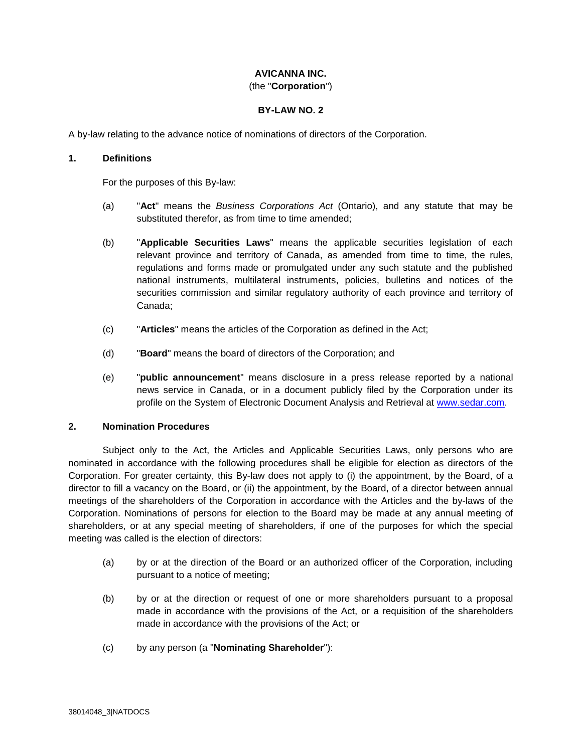# **AVICANNA INC.**

## (the "**Corporation**")

## **BY-LAW NO. 2**

A by-law relating to the advance notice of nominations of directors of the Corporation.

## **1. Definitions**

For the purposes of this By-law:

- (a) "**Act**" means the *Business Corporations Act* (Ontario), and any statute that may be substituted therefor, as from time to time amended;
- (b) "**Applicable Securities Laws**" means the applicable securities legislation of each relevant province and territory of Canada, as amended from time to time, the rules, regulations and forms made or promulgated under any such statute and the published national instruments, multilateral instruments, policies, bulletins and notices of the securities commission and similar regulatory authority of each province and territory of Canada;
- (c) "**Articles**" means the articles of the Corporation as defined in the Act;
- (d) "**Board**" means the board of directors of the Corporation; and
- (e) "**public announcement**" means disclosure in a press release reported by a national news service in Canada, or in a document publicly filed by the Corporation under its profile on the System of Electronic Document Analysis and Retrieval at www.sedar.com.

### **2. Nomination Procedures**

Subject only to the Act, the Articles and Applicable Securities Laws, only persons who are nominated in accordance with the following procedures shall be eligible for election as directors of the Corporation. For greater certainty, this By-law does not apply to (i) the appointment, by the Board, of a director to fill a vacancy on the Board, or (ii) the appointment, by the Board, of a director between annual meetings of the shareholders of the Corporation in accordance with the Articles and the by-laws of the Corporation. Nominations of persons for election to the Board may be made at any annual meeting of shareholders, or at any special meeting of shareholders, if one of the purposes for which the special meeting was called is the election of directors:

- (a) by or at the direction of the Board or an authorized officer of the Corporation, including pursuant to a notice of meeting;
- (b) by or at the direction or request of one or more shareholders pursuant to a proposal made in accordance with the provisions of the Act, or a requisition of the shareholders made in accordance with the provisions of the Act; or
- (c) by any person (a "**Nominating Shareholder**"):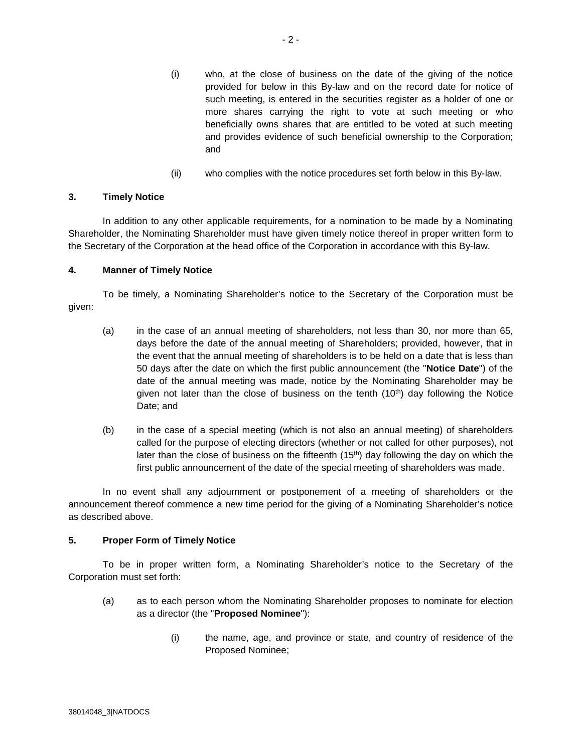- (i) who, at the close of business on the date of the giving of the notice provided for below in this By-law and on the record date for notice of such meeting, is entered in the securities register as a holder of one or more shares carrying the right to vote at such meeting or who beneficially owns shares that are entitled to be voted at such meeting and provides evidence of such beneficial ownership to the Corporation; and
- (ii) who complies with the notice procedures set forth below in this By-law.

### **3. Timely Notice**

In addition to any other applicable requirements, for a nomination to be made by a Nominating Shareholder, the Nominating Shareholder must have given timely notice thereof in proper written form to the Secretary of the Corporation at the head office of the Corporation in accordance with this By-law.

## **4. Manner of Timely Notice**

To be timely, a Nominating Shareholder's notice to the Secretary of the Corporation must be given:

- (a) in the case of an annual meeting of shareholders, not less than 30, nor more than 65, days before the date of the annual meeting of Shareholders; provided, however, that in the event that the annual meeting of shareholders is to be held on a date that is less than 50 days after the date on which the first public announcement (the "**Notice Date**") of the date of the annual meeting was made, notice by the Nominating Shareholder may be given not later than the close of business on the tenth  $(10<sup>th</sup>)$  day following the Notice Date; and
- (b) in the case of a special meeting (which is not also an annual meeting) of shareholders called for the purpose of electing directors (whether or not called for other purposes), not later than the close of business on the fifteenth  $(15<sup>th</sup>)$  day following the day on which the first public announcement of the date of the special meeting of shareholders was made.

In no event shall any adjournment or postponement of a meeting of shareholders or the announcement thereof commence a new time period for the giving of a Nominating Shareholder's notice as described above.

## **5. Proper Form of Timely Notice**

To be in proper written form, a Nominating Shareholder's notice to the Secretary of the Corporation must set forth:

- (a) as to each person whom the Nominating Shareholder proposes to nominate for election as a director (the "**Proposed Nominee**"):
	- (i) the name, age, and province or state, and country of residence of the Proposed Nominee;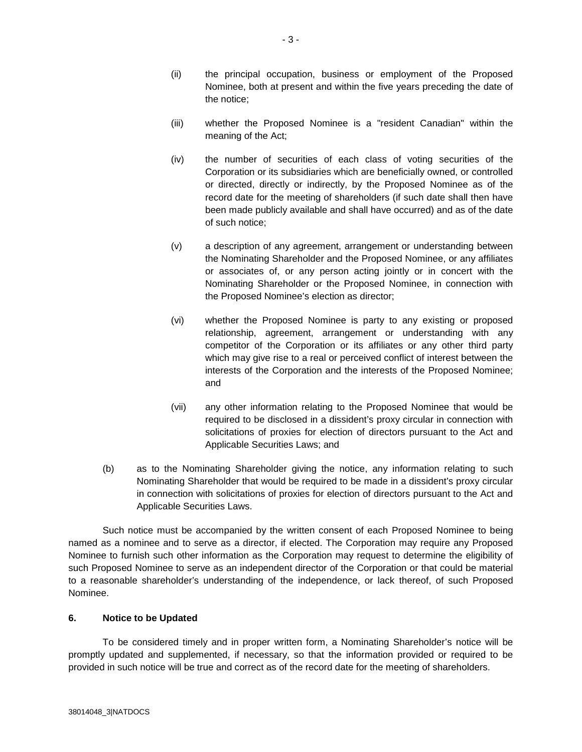- (ii) the principal occupation, business or employment of the Proposed Nominee, both at present and within the five years preceding the date of the notice;
- (iii) whether the Proposed Nominee is a "resident Canadian" within the meaning of the Act;
- (iv) the number of securities of each class of voting securities of the Corporation or its subsidiaries which are beneficially owned, or controlled or directed, directly or indirectly, by the Proposed Nominee as of the record date for the meeting of shareholders (if such date shall then have been made publicly available and shall have occurred) and as of the date of such notice;
- (v) a description of any agreement, arrangement or understanding between the Nominating Shareholder and the Proposed Nominee, or any affiliates or associates of, or any person acting jointly or in concert with the Nominating Shareholder or the Proposed Nominee, in connection with the Proposed Nominee's election as director;
- (vi) whether the Proposed Nominee is party to any existing or proposed relationship, agreement, arrangement or understanding with any competitor of the Corporation or its affiliates or any other third party which may give rise to a real or perceived conflict of interest between the interests of the Corporation and the interests of the Proposed Nominee; and
- (vii) any other information relating to the Proposed Nominee that would be required to be disclosed in a dissident's proxy circular in connection with solicitations of proxies for election of directors pursuant to the Act and Applicable Securities Laws; and
- (b) as to the Nominating Shareholder giving the notice, any information relating to such Nominating Shareholder that would be required to be made in a dissident's proxy circular in connection with solicitations of proxies for election of directors pursuant to the Act and Applicable Securities Laws.

Such notice must be accompanied by the written consent of each Proposed Nominee to being named as a nominee and to serve as a director, if elected. The Corporation may require any Proposed Nominee to furnish such other information as the Corporation may request to determine the eligibility of such Proposed Nominee to serve as an independent director of the Corporation or that could be material to a reasonable shareholder's understanding of the independence, or lack thereof, of such Proposed Nominee.

## **6. Notice to be Updated**

To be considered timely and in proper written form, a Nominating Shareholder's notice will be promptly updated and supplemented, if necessary, so that the information provided or required to be provided in such notice will be true and correct as of the record date for the meeting of shareholders.